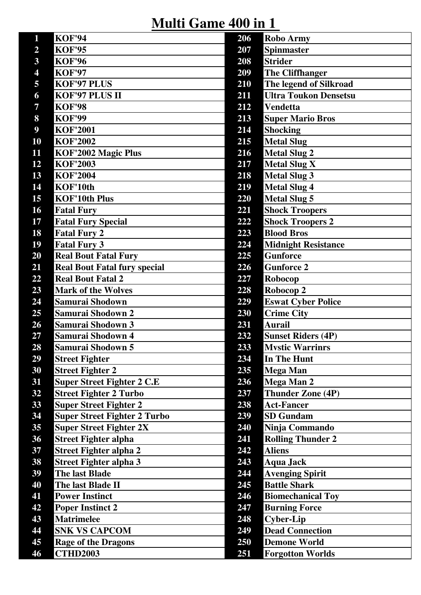**Multi Game 400 in 1** 

| 1                       | <b>KOF'94</b>                       | 206 | <b>Robo Army</b>             |
|-------------------------|-------------------------------------|-----|------------------------------|
| $\overline{2}$          | <b>KOF'95</b>                       | 207 | <b>Spinmaster</b>            |
| $\overline{\mathbf{3}}$ | <b>KOF'96</b>                       | 208 | <b>Strider</b>               |
| 4                       | <b>KOF'97</b>                       | 209 | <b>The Cliffhanger</b>       |
| 5                       | <b>KOF'97 PLUS</b>                  | 210 | The legend of Silkroad       |
| 6                       | KOF'97 PLUS II                      | 211 | <b>Ultra Toukon Densetsu</b> |
| $\overline{7}$          | <b>KOF'98</b>                       | 212 | <b>Vendetta</b>              |
| 8                       | <b>KOF'99</b>                       | 213 | <b>Super Mario Bros</b>      |
| $\boldsymbol{9}$        | <b>KOF'2001</b>                     | 214 | <b>Shocking</b>              |
| 10                      | <b>KOF'2002</b>                     | 215 | <b>Metal Slug</b>            |
| 11                      | KOF'2002 Magic Plus                 | 216 | <b>Metal Slug 2</b>          |
| 12                      | <b>KOF'2003</b>                     | 217 | <b>Metal Slug X</b>          |
| 13                      | <b>KOF'2004</b>                     | 218 | <b>Metal Slug 3</b>          |
| 14                      | KOF'10th                            | 219 | <b>Metal Slug 4</b>          |
| 15                      | <b>KOF'10th Plus</b>                | 220 | <b>Metal Slug 5</b>          |
| <b>16</b>               | <b>Fatal Fury</b>                   | 221 | <b>Shock Troopers</b>        |
| 17                      | <b>Fatal Fury Special</b>           | 222 | <b>Shock Troopers 2</b>      |
| 18                      | <b>Fatal Fury 2</b>                 | 223 | <b>Blood Bros</b>            |
| 19                      | <b>Fatal Fury 3</b>                 | 224 | <b>Midnight Resistance</b>   |
| 20                      | <b>Real Bout Fatal Fury</b>         | 225 | <b>Gunforce</b>              |
| 21                      | <b>Real Bout Fatal fury special</b> | 226 | <b>Gunforce 2</b>            |
| 22                      | <b>Real Bout Fatal 2</b>            | 227 | Robocop                      |
| 23                      | <b>Mark of the Wolves</b>           | 228 | Robocop 2                    |
| 24                      | Samurai Shodown                     | 229 | <b>Eswat Cyber Police</b>    |
| 25                      | Samurai Shodown 2                   | 230 | <b>Crime City</b>            |
| 26                      | Samurai Shodown 3                   | 231 | <b>Aurail</b>                |
| 27                      | Samurai Shodown 4                   | 232 | <b>Sunset Riders (4P)</b>    |
| 28                      | Samurai Shodown 5                   | 233 | <b>Mystic Warrinrs</b>       |
| 29                      | <b>Street Fighter</b>               | 234 | In The Hunt                  |
| 30                      | <b>Street Fighter 2</b>             | 235 | <b>Mega Man</b>              |
| 31                      | <b>Super Street Fighter 2 C.E</b>   | 236 | Mega Man 2                   |
| 32                      | <b>Street Fighter 2 Turbo</b>       | 237 | Thunder Zone (4P)            |
| 33                      | <b>Super Street Fighter 2</b>       | 238 | <b>Act-Fancer</b>            |
| 34                      | <b>Super Street Fighter 2 Turbo</b> | 239 | <b>SD</b> Gundam             |
| 35                      | <b>Super Street Fighter 2X</b>      | 240 | Ninja Commando               |
| 36                      | <b>Street Fighter alpha</b>         | 241 | <b>Rolling Thunder 2</b>     |
| 37                      | <b>Street Fighter alpha 2</b>       | 242 | <b>Aliens</b>                |
| 38                      | <b>Street Fighter alpha 3</b>       | 243 | <b>Aqua Jack</b>             |
| 39                      | <b>The last Blade</b>               | 244 | <b>Avenging Spirit</b>       |
| 40                      | The last Blade II                   | 245 | <b>Battle Shark</b>          |
| 41                      | <b>Power Instinct</b>               | 246 | <b>Biomechanical Toy</b>     |
| 42                      | <b>Poper Instinct 2</b>             | 247 | <b>Burning Force</b>         |
| 43                      | <b>Matrimelee</b>                   | 248 | <b>Cyber-Lip</b>             |
| 44                      | <b>SNK VS CAPCOM</b>                | 249 | <b>Dead Connection</b>       |
| 45                      | <b>Rage of the Dragons</b>          | 250 | <b>Demone World</b>          |
| 46                      | <b>CTHD2003</b>                     | 251 | <b>Forgotton Worlds</b>      |
|                         |                                     |     |                              |

| 06              | <b>Robo Army</b>             |
|-----------------|------------------------------|
| 07              | <b>Spinmaster</b>            |
| 08              | <b>Strider</b>               |
| 09              | <b>The Cliffhanger</b>       |
| 10              | The legend of Silkroad       |
| 11              | <b>Ultra Toukon Densetsu</b> |
| 12              | <b>Vendetta</b>              |
| 13              | <b>Super Mario Bros</b>      |
| 14              | <b>Shocking</b>              |
| 15              | <b>Metal Slug</b>            |
| 16              | <b>Metal Slug 2</b>          |
| 17              | <b>Metal Slug X</b>          |
| 18              | <b>Metal Slug 3</b>          |
| :19             | <b>Metal Slug 4</b>          |
| 20              | <b>Metal Slug 5</b>          |
| 21              | <b>Shock Troopers</b>        |
| 22              | <b>Shock Troopers 2</b>      |
| 23              | <b>Blood Bros</b>            |
| 24              | <b>Midnight Resistance</b>   |
| 25              | <b>Gunforce</b>              |
| 26              | <b>Gunforce 2</b>            |
| 27              | Robocop                      |
| 28              | Robocop 2                    |
| 29              | <b>Eswat Cyber Police</b>    |
| 30              | <b>Crime City</b>            |
| 31              | <b>Aurail</b>                |
| 32              | <b>Sunset Riders (4P)</b>    |
| 33              | <b>Mystic Warrinrs</b>       |
| 34              | In The Hunt                  |
| 35              | <b>Mega Man</b>              |
| 36              | Mega Man 2                   |
| 37              | <b>Thunder Zone (4P)</b>     |
| 38              | <b>Act-Fancer</b>            |
| 39              | <b>SD Gundam</b>             |
| $\overline{40}$ | Ninja Commando               |
| 41              | <b>Rolling Thunder 2</b>     |
| 42              | <b>Aliens</b>                |
| 43              | <b>Aqua Jack</b>             |
| 44              | <b>Avenging Spirit</b>       |
| 45              | <b>Battle Shark</b>          |
| 46              | <b>Biomechanical Toy</b>     |
| 47              | <b>Burning Force</b>         |
| 48              | <b>Cyber-Lip</b>             |
| 49              | <b>Dead Connection</b>       |
| 50              | <b>Demone World</b>          |
| 51              | <b>Forgotton Worlds</b>      |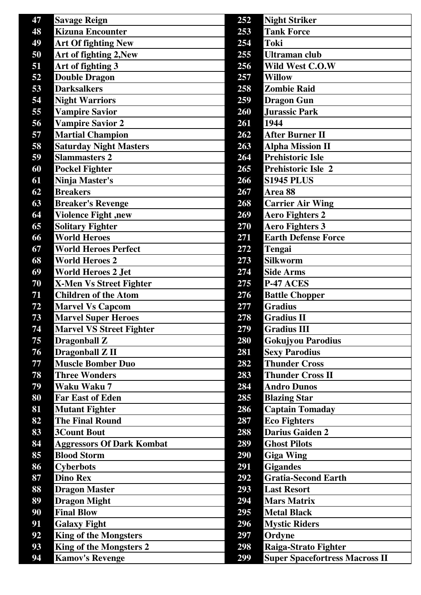| 47 | <b>Savage Reign</b>              | 252 | <b>Night Striker</b>                  |
|----|----------------------------------|-----|---------------------------------------|
| 48 | <b>Kizuna Encounter</b>          | 253 | <b>Tank Force</b>                     |
| 49 | <b>Art Of fighting New</b>       | 254 | <b>Toki</b>                           |
| 50 | Art of fighting 2, New           | 255 | <b>Ultraman club</b>                  |
| 51 | Art of fighting 3                | 256 | Wild West C.O.W                       |
| 52 | <b>Double Dragon</b>             | 257 | <b>Willow</b>                         |
| 53 | <b>Darksalkers</b>               | 258 | <b>Zombie Raid</b>                    |
| 54 | <b>Night Warriors</b>            | 259 | <b>Dragon Gun</b>                     |
| 55 | <b>Vampire Savior</b>            | 260 | <b>Jurassic Park</b>                  |
| 56 | <b>Vampire Savior 2</b>          | 261 | 1944                                  |
| 57 | <b>Martial Champion</b>          | 262 | <b>After Burner II</b>                |
| 58 | <b>Saturday Night Masters</b>    | 263 | <b>Alpha Mission II</b>               |
| 59 | <b>Slammasters 2</b>             | 264 | <b>Prehistoric Isle</b>               |
| 60 | <b>Pockel Fighter</b>            | 265 | <b>Prehistoric Isle 2</b>             |
| 61 | Ninja Master's                   | 266 | <b>S1945 PLUS</b>                     |
| 62 | <b>Breakers</b>                  | 267 | Area 88                               |
| 63 | <b>Breaker's Revenge</b>         | 268 | <b>Carrier Air Wing</b>               |
| 64 | <b>Violence Fight, new</b>       | 269 | <b>Aero Fighters 2</b>                |
| 65 | <b>Solitary Fighter</b>          | 270 | <b>Aero Fighters 3</b>                |
| 66 | <b>World Heroes</b>              | 271 | <b>Earth Defense Force</b>            |
| 67 | <b>World Heroes Perfect</b>      | 272 | <b>Tengai</b>                         |
| 68 | <b>World Heroes 2</b>            | 273 | <b>Silkworm</b>                       |
| 69 | <b>World Heroes 2 Jet</b>        | 274 | <b>Side Arms</b>                      |
| 70 | <b>X-Men Vs Street Fighter</b>   | 275 | P-47 ACES                             |
| 71 | <b>Children of the Atom</b>      | 276 | <b>Battle Chopper</b>                 |
| 72 | <b>Marvel Vs Capcom</b>          | 277 | <b>Gradius</b>                        |
| 73 | <b>Marvel Super Heroes</b>       | 278 | <b>Gradius II</b>                     |
| 74 | <b>Marvel VS Street Fighter</b>  | 279 | <b>Gradius III</b>                    |
| 75 | <b>Dragonball Z</b>              | 280 | <b>Gokujyou Parodius</b>              |
| 76 | Dragonball Z II                  | 281 | <b>Sexy Parodius</b>                  |
| 77 | <b>Muscle Bomber Duo</b>         | 282 | <b>Thunder Cross</b>                  |
| 78 | <b>Three Wonders</b>             | 283 | <b>Thunder Cross II</b>               |
| 79 | Waku Waku 7                      | 284 | <b>Andro Dunos</b>                    |
| 80 | <b>Far East of Eden</b>          | 285 | <b>Blazing Star</b>                   |
| 81 | <b>Mutant Fighter</b>            | 286 | <b>Captain Tomaday</b>                |
| 82 | <b>The Final Round</b>           | 287 | <b>Eco Fighters</b>                   |
| 83 | <b>3Count Bout</b>               | 288 | <b>Darius Gaiden 2</b>                |
| 84 | <b>Aggressors Of Dark Kombat</b> | 289 | <b>Ghost Pilots</b>                   |
| 85 | <b>Blood Storm</b>               | 290 | <b>Giga Wing</b>                      |
| 86 | <b>Cyberbots</b>                 | 291 | <b>Gigandes</b>                       |
| 87 | <b>Dino Rex</b>                  | 292 | <b>Gratia-Second Earth</b>            |
| 88 | <b>Dragon Master</b>             | 293 | <b>Last Resort</b>                    |
| 89 | <b>Dragon Might</b>              | 294 | <b>Mars Matrix</b>                    |
| 90 | <b>Final Blow</b>                | 295 | <b>Metal Black</b>                    |
| 91 | <b>Galaxy Fight</b>              | 296 | <b>Mystic Riders</b>                  |
| 92 | <b>King of the Mongsters</b>     | 297 | Ordyne                                |
| 93 | King of the Mongsters 2          | 298 | Raiga-Strato Fighter                  |
| 94 | <b>Kamov's Revenge</b>           | 299 | <b>Super Spacefortress Macross II</b> |
|    |                                  |     |                                       |

| 52              | <b>Night Striker</b>                  |
|-----------------|---------------------------------------|
| 53              | <b>Tank Force</b>                     |
| 54              | <b>Toki</b>                           |
| 55              | Ultraman club                         |
| 56              | Wild West C.O.W                       |
| 57              | <b>Willow</b>                         |
| 58              | <b>Zombie Raid</b>                    |
| 59              | <b>Dragon Gun</b>                     |
| 60              | <b>Jurassic Park</b>                  |
| 61              | 1944                                  |
| 62              | <b>After Burner II</b>                |
| 63              | <b>Alpha Mission II</b>               |
| 64              | <b>Prehistoric Isle</b>               |
| 65              | <b>Prehistoric Isle 2</b>             |
| 66              | <b>S1945 PLUS</b>                     |
| 67              | Area 88                               |
| 68              | <b>Carrier Air Wing</b>               |
| 69              | <b>Aero Fighters 2</b>                |
| $\overline{70}$ | <b>Aero Fighters 3</b>                |
| 71              | <b>Earth Defense Force</b>            |
| 72              | Tengai                                |
| 73              | <b>Silkworm</b>                       |
| 74              | <b>Side Arms</b>                      |
| 75              | P-47 ACES                             |
| $\overline{76}$ | <b>Battle Chopper</b>                 |
| $\overline{77}$ | <b>Gradius</b>                        |
| 78              | <b>Gradius II</b>                     |
| 79              | <b>Gradius III</b>                    |
| 80              | <b>Gokujyou Parodius</b>              |
| 81              | <b>Sexy Parodius</b>                  |
| 82              | <b>Thunder Cross</b>                  |
| 83              | <b>Thunder Cross II</b>               |
| 84              | <b>Andro Dunos</b>                    |
| 85              | <b>Blazing Star</b>                   |
| 86              | <b>Captain Tomaday</b>                |
| 87              | <b>Eco Fighters</b>                   |
| 88              | <b>Darius Gaiden 2</b>                |
| 89              | <b>Ghost Pilots</b>                   |
| 90              | <b>Giga Wing</b>                      |
| 91              | <b>Gigandes</b>                       |
| 92              | <b>Gratia-Second Earth</b>            |
| 93              | <b>Last Resort</b>                    |
| 94              | <b>Mars Matrix</b>                    |
| 95              | <b>Metal Black</b>                    |
| 96              | <b>Mystic Riders</b>                  |
| 97              | Ordyne                                |
| 98              | Raiga-Strato Fighter                  |
| 99              | <b>Super Spacefortress Macross II</b> |
|                 |                                       |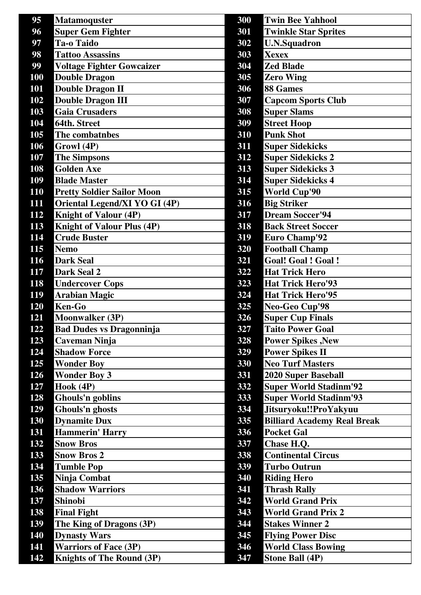| 95         | <b>Matamoquster</b>                  | 300 | <b>Twin Bee Yahhool</b>            |
|------------|--------------------------------------|-----|------------------------------------|
| 96         | <b>Super Gem Fighter</b>             | 301 | <b>Twinkle Star Sprites</b>        |
| 97         | <b>Ta-o Taido</b>                    | 302 | <b>U.N.Squadron</b>                |
| 98         | <b>Tattoo Assassins</b>              | 303 | <b>Xexex</b>                       |
| 99         | <b>Voltage Fighter Gowcaizer</b>     | 304 | <b>Zed Blade</b>                   |
| <b>100</b> | <b>Double Dragon</b>                 | 305 | <b>Zero Wing</b>                   |
| 101        | <b>Double Dragon II</b>              | 306 | 88 Games                           |
| 102        | <b>Double Dragon III</b>             | 307 | <b>Capcom Sports Club</b>          |
| 103        | <b>Gaia Crusaders</b>                | 308 | <b>Super Slams</b>                 |
| 104        | 64th. Street                         | 309 | <b>Street Hoop</b>                 |
| 105        | The combatnbes                       | 310 | <b>Punk Shot</b>                   |
| 106        | Growl (4P)                           | 311 | <b>Super Sidekicks</b>             |
| 107        | <b>The Simpsons</b>                  | 312 | <b>Super Sidekicks 2</b>           |
| 108        | <b>Golden Axe</b>                    | 313 | <b>Super Sidekicks 3</b>           |
| 109        | <b>Blade Master</b>                  | 314 | <b>Super Sidekicks 4</b>           |
| <b>110</b> | <b>Pretty Soldier Sailor Moon</b>    | 315 | <b>World Cup'90</b>                |
| 111        | <b>Oriental Legend/XI YO GI (4P)</b> | 316 | <b>Big Striker</b>                 |
| 112        | <b>Knight of Valour (4P)</b>         | 317 | <b>Dream Soccer'94</b>             |
| 113        | <b>Knight of Valour Plus (4P)</b>    | 318 | <b>Back Street Soccer</b>          |
| 114        | <b>Crude Buster</b>                  | 319 | <b>Euro Champ'92</b>               |
| 115        | <b>Nemo</b>                          | 320 | <b>Football Champ</b>              |
| 116        | <b>Dark Seal</b>                     | 321 | <b>Goal! Goal! Goal!</b>           |
| 117        | Dark Seal 2                          | 322 | <b>Hat Trick Hero</b>              |
| <b>118</b> | <b>Undercover Cops</b>               | 323 | <b>Hat Trick Hero'93</b>           |
| 119        | <b>Arabian Magic</b>                 | 324 | <b>Hat Trick Hero'95</b>           |
| 120        | <b>Ken-Go</b>                        | 325 | Neo-Geo Cup'98                     |
| 121        | <b>Moonwalker (3P)</b>               | 326 | <b>Super Cup Finals</b>            |
| 122        | <b>Bad Dudes vs Dragonninja</b>      | 327 | <b>Taito Power Goal</b>            |
| 123        | Caveman Ninja                        | 328 | <b>Power Spikes, New</b>           |
| 124        | <b>Shadow Force</b>                  | 329 | <b>Power Spikes II</b>             |
| 125        | <b>Wonder Boy</b>                    | 330 | <b>Neo Turf Masters</b>            |
| 126        | <b>Wonder Boy 3</b>                  | 331 | <b>2020 Super Baseball</b>         |
| 127        | Hook (4P)                            | 332 | <b>Super World Stadinm'92</b>      |
| 128        | Ghouls'n goblins                     | 333 | <b>Super World Stadinm'93</b>      |
| 129        | <b>Ghouls'n ghosts</b>               | 334 | Jitsuryoku!!ProYakyuu              |
| 130        | <b>Dynamite Dux</b>                  | 335 | <b>Billiard Academy Real Break</b> |
| 131        | <b>Hammerin' Harry</b>               | 336 | <b>Pocket Gal</b>                  |
| 132        | <b>Snow Bros</b>                     | 337 | Chase H.Q.                         |
| 133        | <b>Snow Bros 2</b>                   | 338 | <b>Continental Circus</b>          |
| 134        | <b>Tumble Pop</b>                    | 339 | <b>Turbo Outrun</b>                |
| 135        | Ninja Combat                         | 340 | <b>Riding Hero</b>                 |
| 136        | <b>Shadow Warriors</b>               | 341 | <b>Thrash Rally</b>                |
| 137        | <b>Shinobi</b>                       | 342 | <b>World Grand Prix</b>            |
| 138        | <b>Final Fight</b>                   | 343 | <b>World Grand Prix 2</b>          |
| 139        | The King of Dragons (3P)             | 344 | <b>Stakes Winner 2</b>             |
| 140        | <b>Dynasty Wars</b>                  | 345 | <b>Flying Power Disc</b>           |
| 141        | <b>Warriors of Face (3P)</b>         | 346 | <b>World Class Bowing</b>          |
| 142        | Knights of The Round (3P)            | 347 | <b>Stone Ball (4P)</b>             |
|            |                                      |     |                                    |

| 300 | <b>Twin Bee Yahhool</b>            |
|-----|------------------------------------|
| 301 | <b>Twinkle Star Sprites</b>        |
| 302 | <b>U.N.Squadron</b>                |
| 303 | <b>Xexex</b>                       |
| 304 | <b>Zed Blade</b>                   |
| 305 | <b>Zero Wing</b>                   |
| 306 | <b>88 Games</b>                    |
| 307 | <b>Capcom Sports Club</b>          |
| 308 | <b>Super Slams</b>                 |
| 309 | <b>Street Hoop</b>                 |
| 310 | <b>Punk Shot</b>                   |
| 311 | <b>Super Sidekicks</b>             |
| 312 | <b>Super Sidekicks 2</b>           |
| 313 | <b>Super Sidekicks 3</b>           |
| 314 | <b>Super Sidekicks 4</b>           |
| 315 | <b>World Cup'90</b>                |
| 316 | <b>Big Striker</b>                 |
| 317 | <b>Dream Soccer'94</b>             |
| 318 | <b>Back Street Soccer</b>          |
| 319 | <b>Euro Champ'92</b>               |
| 320 | <b>Football Champ</b>              |
| 321 | <b>Goal! Goal! Goal!</b>           |
| 322 | <b>Hat Trick Hero</b>              |
| 323 | <b>Hat Trick Hero'93</b>           |
| 324 | <b>Hat Trick Hero'95</b>           |
| 325 | Neo-Geo Cup'98                     |
| 326 | <b>Super Cup Finals</b>            |
| 327 | <b>Taito Power Goal</b>            |
| 328 | <b>Power Spikes, New</b>           |
| 329 | <b>Power Spikes II</b>             |
| 330 | <b>Neo Turf Masters</b>            |
| 331 | <b>2020 Super Baseball</b>         |
| 332 | <b>Super World Stadinm'92</b>      |
| 333 | <b>Super World Stadinm'93</b>      |
| 334 | Jitsuryoku!!ProYakyuu              |
| 335 | <b>Billiard Academy Real Break</b> |
| 336 | <b>Pocket Gal</b>                  |
| 337 | Chase H.Q.                         |
| 338 | <b>Continental Circus</b>          |
| 339 | <b>Turbo Outrun</b>                |
| 340 | <b>Riding Hero</b>                 |
| 341 | <b>Thrash Rally</b>                |
| 342 | <b>World Grand Prix</b>            |
| 343 | <b>World Grand Prix 2</b>          |
| 344 | <b>Stakes Winner 2</b>             |
| 345 | <b>Flying Power Disc</b>           |
| 346 | <b>World Class Bowing</b>          |
| 347 | <b>Stone Ball (4P)</b>             |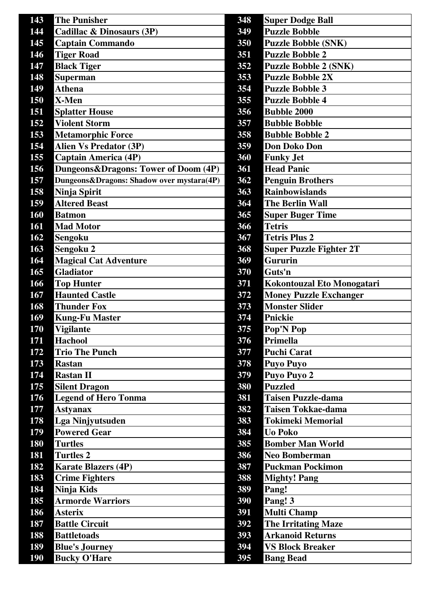| <b>The Punisher</b>                       | 348                          | <b>Super Dodge Ball</b>           |
|-------------------------------------------|------------------------------|-----------------------------------|
| Cadillac & Dinosaurs (3P)                 | 349                          | <b>Puzzle Bobble</b>              |
| <b>Captain Commando</b>                   | 350                          | <b>Puzzle Bobble (SNK)</b>        |
| <b>Tiger Road</b>                         | 351                          | <b>Puzzle Bobble 2</b>            |
| <b>Black Tiger</b>                        | 352                          | <b>Puzzle Bobble 2 (SNK)</b>      |
| <b>Superman</b>                           | 353                          | <b>Puzzle Bobble 2X</b>           |
| <b>Athena</b>                             | 354                          | <b>Puzzle Bobble 3</b>            |
| X-Men                                     | 355                          | <b>Puzzle Bobble 4</b>            |
| <b>Splatter House</b>                     | 356                          | <b>Bubble 2000</b>                |
| <b>Violent Storm</b>                      | 357                          | <b>Bubble Bobble</b>              |
| <b>Metamorphic Force</b>                  | 358                          | <b>Bubble Bobble 2</b>            |
| <b>Alien Vs Predator (3P)</b>             | 359                          | <b>Don Doko Don</b>               |
| <b>Captain America (4P)</b>               | 360                          | <b>Funky Jet</b>                  |
| Dungeons & Dragons: Tower of Doom (4P)    | 361                          | <b>Head Panic</b>                 |
| Dungeons&Dragons: Shadow over mystara(4P) | 362                          | <b>Penguin Brothers</b>           |
| Ninja Spirit                              | 363                          | <b>Rainbowislands</b>             |
| <b>Altered Beast</b>                      | 364                          | <b>The Berlin Wall</b>            |
| <b>Batmon</b>                             | 365                          | <b>Super Buger Time</b>           |
| <b>Mad Motor</b>                          | 366                          | <b>Tetris</b>                     |
| Sengoku                                   | 367                          | <b>Tetris Plus 2</b>              |
| Sengoku 2                                 | 368                          | <b>Super Puzzle Fighter 2T</b>    |
|                                           | 369                          | <b>Gururin</b>                    |
| <b>Gladiator</b>                          | 370                          | Guts'n                            |
| <b>Top Hunter</b>                         | 371                          | <b>Kokontouzal Eto Monogatari</b> |
| <b>Haunted Castle</b>                     | 372                          | <b>Money Puzzle Exchanger</b>     |
| <b>Thunder Fox</b>                        | 373                          | <b>Monster Slider</b>             |
| <b>Kung-Fu Master</b>                     | 374                          | <b>Pnickie</b>                    |
| <b>Vigilante</b>                          | 375                          | Pop'N Pop                         |
| <b>Hachool</b>                            | 376                          | Primella                          |
| <b>Trio The Punch</b>                     | 377                          | <b>Puchi Carat</b>                |
| <b>Rastan</b>                             | 378                          | <b>Puyo Puyo</b>                  |
| <b>Rastan II</b>                          | 379                          | Puyo Puyo 2                       |
| <b>Silent Dragon</b>                      | 380                          | <b>Puzzled</b>                    |
| <b>Legend of Hero Tonma</b>               | 381                          | <b>Taisen Puzzle-dama</b>         |
| <b>Astyanax</b>                           | 382                          | <b>Taisen Tokkae-dama</b>         |
| <b>Lga Ninjyutsuden</b>                   | 383                          | <b>Tokimeki Memorial</b>          |
| <b>Powered Gear</b>                       | 384                          | <b>Uo Poko</b>                    |
| <b>Turtles</b>                            | 385                          | <b>Bomber Man World</b>           |
| <b>Turtles 2</b>                          | 386                          | <b>Neo Bomberman</b>              |
| <b>Karate Blazers (4P)</b>                | 387                          | <b>Puckman Pockimon</b>           |
| <b>Crime Fighters</b>                     | 388                          | <b>Mighty! Pang</b>               |
| Ninja Kids                                | 389                          | Pang!                             |
| <b>Armorde Warriors</b>                   | 390                          | Pang! 3                           |
| <b>Asterix</b>                            | 391                          | <b>Multi Champ</b>                |
| <b>Battle Circuit</b>                     | 392                          | <b>The Irritating Maze</b>        |
| <b>Battletoads</b>                        | 393                          | <b>Arkanoid Returns</b>           |
| <b>Blue's Journey</b>                     | 394                          | <b>VS Block Breaker</b>           |
| <b>Bucky O'Hare</b>                       | 395                          | <b>Bang Bead</b>                  |
|                                           | <b>Magical Cat Adventure</b> |                                   |

| 348             | <b>Super Dodge Ball</b>        |
|-----------------|--------------------------------|
| }49             | <b>Puzzle Bobble</b>           |
| 50              | <b>Puzzle Bobble (SNK)</b>     |
| <b>51</b>       | <b>Puzzle Bobble 2</b>         |
| 352             | <b>Puzzle Bobble 2 (SNK)</b>   |
| 53              | <b>Puzzle Bobble 2X</b>        |
| 54              | <b>Puzzle Bobble 3</b>         |
| 555             | <b>Puzzle Bobble 4</b>         |
| 56              | <b>Bubble 2000</b>             |
| 157             | <b>Bubble Bobble</b>           |
| 58              | <b>Bubble Bobble 2</b>         |
| 59              | <b>Don Doko Don</b>            |
| 860             | <b>Funky Jet</b>               |
| 61              | <b>Head Panic</b>              |
| 62              | <b>Penguin Brothers</b>        |
| 63              | <b>Rainbowislands</b>          |
| 64              | <b>The Berlin Wall</b>         |
| 865             | <b>Super Buger Time</b>        |
| 866             | <b>Tetris</b>                  |
| 867             | <b>Tetris Plus 2</b>           |
| $\overline{68}$ | <b>Super Puzzle Fighter 2T</b> |
| 869             | <b>Gururin</b>                 |
| 370             | Guts'n                         |
| 371             | Kokontouzal Eto Monogatari     |
| 372             | <b>Money Puzzle Exchanger</b>  |
| 373             | <b>Monster Slider</b>          |
| 374             | <b>Pnickie</b>                 |
| 375             | Pop'N Pop                      |
| 376             | Primella                       |
| }77             | <b>Puchi Carat</b>             |
| 378             | <b>Puyo Puyo</b>               |
| 379             | <b>Puyo Puyo 2</b>             |
| 80              | <b>Puzzled</b>                 |
| 81              | <b>Taisen Puzzle-dama</b>      |
| 82              | <b>Taisen Tokkae-dama</b>      |
| 83              | <b>Tokimeki Memorial</b>       |
| 84              | <b>Uo Poko</b>                 |
| 85              | <b>Bomber Man World</b>        |
| 86              | <b>Neo Bomberman</b>           |
| 87              | <b>Puckman Pockimon</b>        |
| 88              | <b>Mighty! Pang</b>            |
| 89              | Pang!                          |
| }90             | Pang! 3                        |
| 391             | <b>Multi Champ</b>             |
| 392             | <b>The Irritating Maze</b>     |
| 393             | <b>Arkanoid Returns</b>        |
| }94             | <b>VS Block Breaker</b>        |
| 95              | <b>Bang Bead</b>               |
|                 |                                |